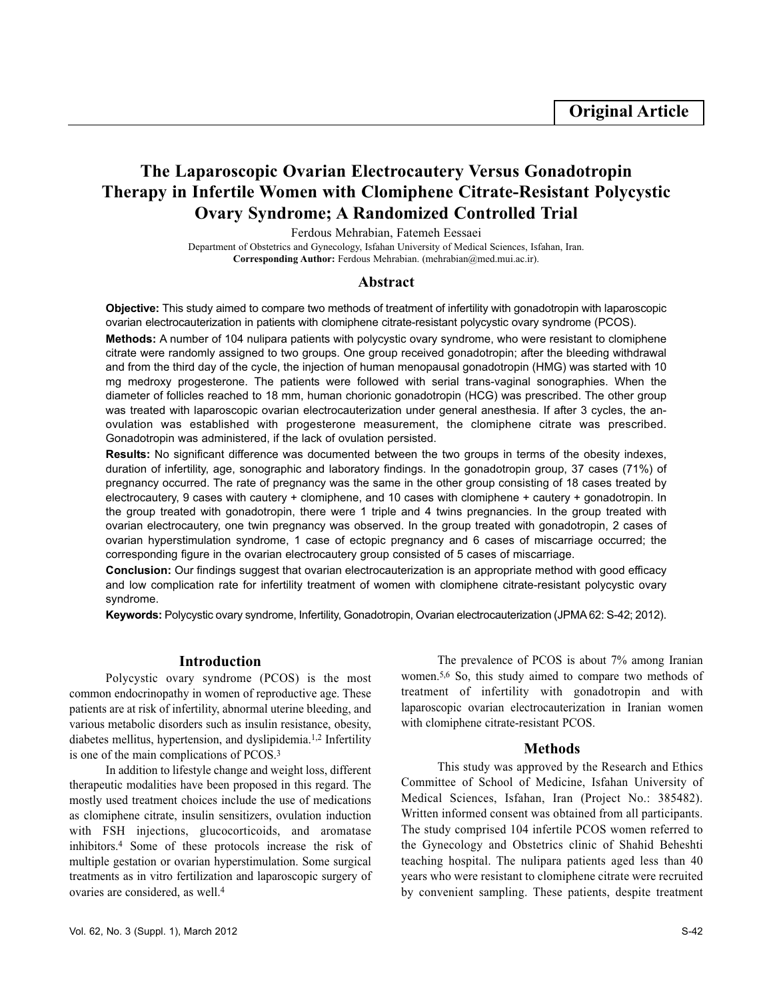# **The Laparoscopic Ovarian Electrocautery Versus Gonadotropin Therapy in Infertile Women with Clomiphene Citrate-Resistant Polycystic Ovary Syndrome; A Randomized Controlled Trial**

Ferdous Mehrabian, Fatemeh Eessaei

Department of Obstetrics and Gynecology, Isfahan University of Medical Sciences, Isfahan, Iran. **Corresponding Author:** Ferdous Mehrabian. (mehrabian@med.mui.ac.ir).

#### **Abstract**

**Objective:** This study aimed to compare two methods of treatment of infertility with gonadotropin with laparoscopic ovarian electrocauterization in patients with clomiphene citrate-resistant polycystic ovary syndrome (PCOS).

**Methods:** A number of 104 nulipara patients with polycystic ovary syndrome, who were resistant to clomiphene citrate were randomly assigned to two groups. One group received gonadotropin; after the bleeding withdrawal and from the third day of the cycle, the injection of human menopausal gonadotropin (HMG) was started with 10 mg medroxy progesterone. The patients were followed with serial trans-vaginal sonographies. When the diameter of follicles reached to 18 mm, human chorionic gonadotropin (HCG) was prescribed. The other group was treated with laparoscopic ovarian electrocauterization under general anesthesia. If after 3 cycles, the anovulation was established with progesterone measurement, the clomiphene citrate was prescribed. Gonadotropin was administered, if the lack of ovulation persisted.

**Results:** No significant difference was documented between the two groups in terms of the obesity indexes, duration of infertility, age, sonographic and laboratory findings. In the gonadotropin group, 37 cases (71%) of pregnancy occurred. The rate of pregnancy was the same in the other group consisting of 18 cases treated by electrocautery, 9 cases with cautery + clomiphene, and 10 cases with clomiphene + cautery + gonadotropin. In the group treated with gonadotropin, there were 1 triple and 4 twins pregnancies. In the group treated with ovarian electrocautery, one twin pregnancy was observed. In the group treated with gonadotropin, 2 cases of ovarian hyperstimulation syndrome, 1 case of ectopic pregnancy and 6 cases of miscarriage occurred; the corresponding figure in the ovarian electrocautery group consisted of 5 cases of miscarriage.

**Conclusion:** Our findings suggest that ovarian electrocauterization is an appropriate method with good efficacy and low complication rate for infertility treatment of women with clomiphene citrate-resistant polycystic ovary syndrome.

**Keywords:** Polycystic ovary syndrome, Infertility, Gonadotropin, Ovarian electrocauterization (JPMA 62: S-42; 2012).

# **Introduction**

Polycystic ovary syndrome (PCOS) is the most common endocrinopathy in women of reproductive age. These patients are at risk of infertility, abnormal uterine bleeding, and various metabolic disorders such as insulin resistance, obesity, diabetes mellitus, hypertension, and dyslipidemia.1,2 Infertility is one of the main complications of PCOS.<sup>3</sup>

In addition to lifestyle change and weight loss, different therapeutic modalities have been proposed in this regard. The mostly used treatment choices include the use of medications as clomiphene citrate, insulin sensitizers, ovulation induction with FSH injections, glucocorticoids, and aromatase inhibitors.<sup>4</sup> Some of these protocols increase the risk of multiple gestation or ovarian hyperstimulation. Some surgical treatments as in vitro fertilization and laparoscopic surgery of ovaries are considered, as well.<sup>4</sup>

The prevalence of PCOS is about 7% among Iranian women.5,6 So, this study aimed to compare two methods of treatment of infertility with gonadotropin and with laparoscopic ovarian electrocauterization in Iranian women with clomiphene citrate-resistant PCOS.

#### **Methods**

This study was approved by the Research and Ethics Committee of School of Medicine, Isfahan University of Medical Sciences, Isfahan, Iran (Project No.: 385482). Written informed consent was obtained from all participants. The study comprised 104 infertile PCOS women referred to the Gynecology and Obstetrics clinic of Shahid Beheshti teaching hospital. The nulipara patients aged less than 40 years who were resistant to clomiphene citrate were recruited by convenient sampling. These patients, despite treatment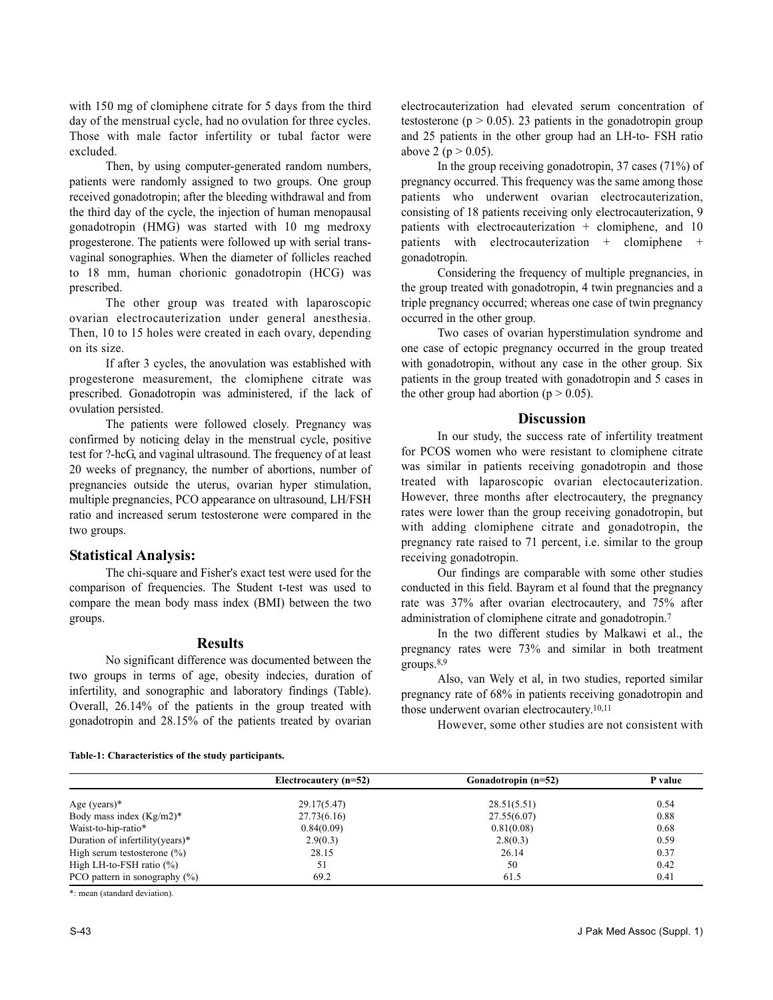with 150 mg of clomiphene citrate for 5 days from the third day of the menstrual cycle, had no ovulation for three cycles. Those with male factor infertility or tubal factor were excluded.

Then, by using computer-generated random numbers, patients were randomly assigned to two groups. One group received gonadotropin; after the bleeding withdrawal and from the third day of the cycle, the injection of human menopausal gonadotropin (HMG) was started with 10 mg medroxy progesterone. The patients were followed up with serial transvaginal sonographies. When the diameter of follicles reached to 18 mm, human chorionic gonadotropin (HCG) was prescribed.

The other group was treated with laparoscopic ovarian electrocauterization under general anesthesia. Then, 10 to 15 holes were created in each ovary, depending on its size.

If after 3 cycles, the anovulation was established with progesterone measurement, the clomiphene citrate was prescribed. Gonadotropin was administered, if the lack of ovulation persisted.

The patients were followed closely. Pregnancy was confirmed by noticing delay in the menstrual cycle, positive test for ?-hcG, and vaginal ultrasound. The frequency of at least 20 weeks of pregnancy, the number of abortions, number of pregnancies outside the uterus, ovarian hyper stimulation, multiple pregnancies, PCO appearance on ultrasound, LH/FSH ratio and increased serum testosterone were compared in the two groups.

# **Statistical Analysis:**

The chi-square and Fisher's exact test were used for the comparison of frequencies. The Student t-test was used to compare the mean body mass index (BMI) between the two groups.

# **Results**

No significant difference was documented between the two groups in terms of age, obesity indecies, duration of infertility, and sonographic and laboratory findings (Table). Overall, 26.14% of the patients in the group treated with gonadotropin and 28.15% of the patients treated by ovarian electrocauterization had elevated serum concentration of testosterone ( $p > 0.05$ ). 23 patients in the gonadotropin group and 25 patients in the other group had an LH-to- FSH ratio above 2 ( $p > 0.05$ ).

In the group receiving gonadotropin, 37 cases (71%) of pregnancy occurred. This frequency was the same among those patients who underwent ovarian electrocauterization, consisting of 18 patients receiving only electrocauterization, 9 patients with electrocauterization + clomiphene, and 10 patients with electrocauterization + clomiphene + gonadotropin.

Considering the frequency of multiple pregnancies, in the group treated with gonadotropin, 4 twin pregnancies and a triple pregnancy occurred; whereas one case of twin pregnancy occurred in the other group.

Two cases of ovarian hyperstimulation syndrome and one case of ectopic pregnancy occurred in the group treated with gonadotropin, without any case in the other group. Six patients in the group treated with gonadotropin and 5 cases in the other group had abortion ( $p > 0.05$ ).

#### **Discussion**

In our study, the success rate of infertility treatment for PCOS women who were resistant to clomiphene citrate was similar in patients receiving gonadotropin and those treated with laparoscopic ovarian electocauterization. However, three months after electrocautery, the pregnancy rates were lower than the group receiving gonadotropin, but with adding clomiphene citrate and gonadotropin, the pregnancy rate raised to 71 percent, i.e. similar to the group receiving gonadotropin.

Our findings are comparable with some other studies conducted in this field. Bayram et al found that the pregnancy rate was 37% after ovarian electrocautery, and 75% after administration of clomiphene citrate and gonadotropin.<sup>7</sup>

In the two different studies by Malkawi et al., the pregnancy rates were 73% and similar in both treatment groups.8,9

Also, van Wely et al, in two studies, reported similar pregnancy rate of 68% in patients receiving gonadotropin and those underwent ovarian electrocautery.10,11

However, some other studies are not consistent with

|                                  | Electrocautery (n=52) | Gonadotropin (n=52) | P value |
|----------------------------------|-----------------------|---------------------|---------|
| Age (years) $*$                  | 29.17(5.47)           | 28.51(5.51)         | 0.54    |
| Body mass index $(Kg/m2)^*$      | 27.73(6.16)           | 27.55(6.07)         | 0.88    |
| Waist-to-hip-ratio*              | 0.84(0.09)            | 0.81(0.08)          | 0.68    |
| Duration of infertility (years)* | 2.9(0.3)              | 2.8(0.3)            | 0.59    |
| High serum testosterone $(\% )$  | 28.15                 | 26.14               | 0.37    |
| High LH-to-FSH ratio $(\%)$      | 51                    | 50                  | 0.42    |
| PCO pattern in sonography $(\%)$ | 69.2                  | 61.5                | 0.41    |

**Table-1: Characteristics of the study participants.**

\*: mean (standard deviation).